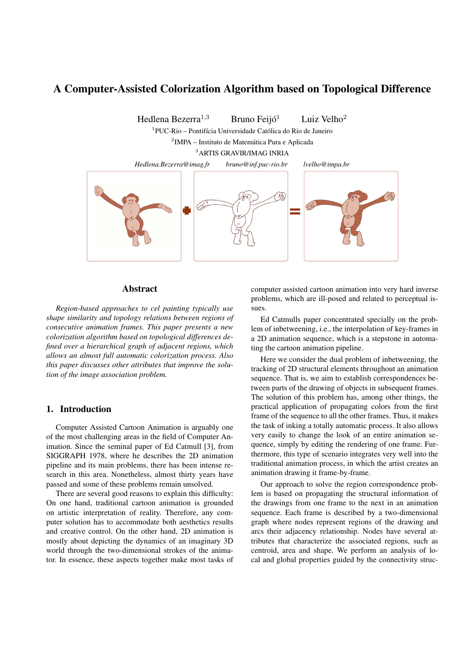# **A Computer-Assisted Colorization Algorithm based on Topological Difference**

Hedlena Bezerra<sup>1,3</sup> Bruno Feijó<sup>1</sup> Luiz Velho<sup>2</sup>

 $1$ PUC-Rio – Pontifícia Universidade Católica do Rio de Janeiro

<sup>2</sup>IMPA – Instituto de Matemática Pura e Aplicada

<sup>3</sup>ARTIS GRAVIR/IMAG INRIA



## **Abstract**

*Region-based approaches to cel painting typically use shape similarity and topology relations between regions of consecutive animation frames. This paper presents a new colorization algorithm based on topological differences defined over a hierarchical graph of adjacent regions, which allows an almost full automatic colorization process. Also this paper discusses other attributes that improve the solution of the image association problem.*

#### **1. Introduction**

Computer Assisted Cartoon Animation is arguably one of the most challenging areas in the field of Computer Animation. Since the seminal paper of Ed Catmull [3], from SIGGRAPH 1978, where he describes the 2D animation pipeline and its main problems, there has been intense research in this area. Nonetheless, almost thirty years have passed and some of these problems remain unsolved.

There are several good reasons to explain this difficulty: On one hand, traditional cartoon animation is grounded on artistic interpretation of reality. Therefore, any computer solution has to accommodate both aesthetics results and creative control. On the other hand, 2D animation is mostly about depicting the dynamics of an imaginary 3D world through the two-dimensional strokes of the animator. In essence, these aspects together make most tasks of computer assisted cartoon animation into very hard inverse problems, which are ill-posed and related to perceptual issues.

Ed Catmulls paper concentrated specially on the problem of inbetweening, i.e., the interpolation of key-frames in a 2D animation sequence, which is a stepstone in automating the cartoon animation pipeline.

Here we consider the dual problem of inbetweening, the tracking of 2D structural elements throughout an animation sequence. That is, we aim to establish correspondences between parts of the drawing of objects in subsequent frames. The solution of this problem has, among other things, the practical application of propagating colors from the first frame of the sequence to all the other frames. Thus, it makes the task of inking a totally automatic process. It also allows very easily to change the look of an entire animation sequence, simply by editing the rendering of one frame. Furthermore, this type of scenario integrates very well into the traditional animation process, in which the artist creates an animation drawing it frame-by-frame.

Our approach to solve the region correspondence problem is based on propagating the structural information of the drawings from one frame to the next in an animation sequence. Each frame is described by a two-dimensional graph where nodes represent regions of the drawing and arcs their adjacency relationship. Nodes have several attributes that characterize the associated regions, such as centroid, area and shape. We perform an analysis of local and global properties guided by the connectivity struc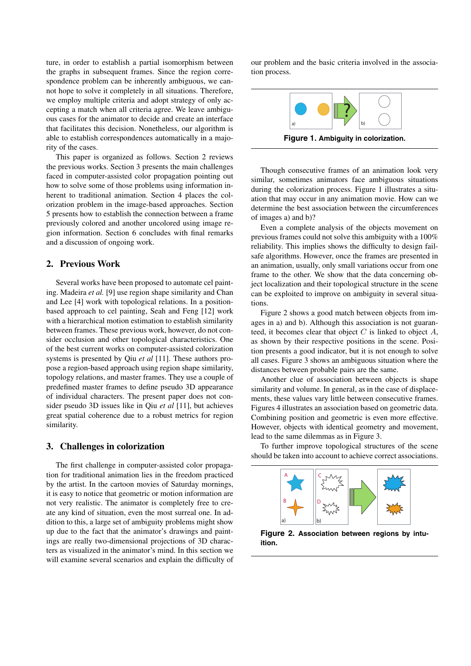ture, in order to establish a partial isomorphism between the graphs in subsequent frames. Since the region correspondence problem can be inherently ambiguous, we cannot hope to solve it completely in all situations. Therefore, we employ multiple criteria and adopt strategy of only accepting a match when all criteria agree. We leave ambiguous cases for the animator to decide and create an interface that facilitates this decision. Nonetheless, our algorithm is able to establish correspondences automatically in a majority of the cases.

This paper is organized as follows. Section 2 reviews the previous works. Section 3 presents the main challenges faced in computer-assisted color propagation pointing out how to solve some of those problems using information inherent to traditional animation. Section 4 places the colorization problem in the image-based approaches. Section 5 presents how to establish the connection between a frame previously colored and another uncolored using image region information. Section 6 concludes with final remarks and a discussion of ongoing work.

# **2. Previous Work**

Several works have been proposed to automate cel painting. Madeira *et al.* [9] use region shape similarity and Chan and Lee [4] work with topological relations. In a positionbased approach to cel painting, Seah and Feng [12] work with a hierarchical motion estimation to establish similarity between frames. These previous work, however, do not consider occlusion and other topological characteristics. One of the best current works on computer-assisted colorization systems is presented by Qiu *et al* [11]. These authors propose a region-based approach using region shape similarity, topology relations, and master frames. They use a couple of predefined master frames to define pseudo 3D appearance of individual characters. The present paper does not consider pseudo 3D issues like in Qiu *et al* [11], but achieves great spatial coherence due to a robust metrics for region similarity.

## **3. Challenges in colorization**

The first challenge in computer-assisted color propagation for traditional animation lies in the freedom practiced by the artist. In the cartoon movies of Saturday mornings, it is easy to notice that geometric or motion information are not very realistic. The animator is completely free to create any kind of situation, even the most surreal one. In addition to this, a large set of ambiguity problems might show up due to the fact that the animator's drawings and paintings are really two-dimensional projections of 3D characters as visualized in the animator's mind. In this section we will examine several scenarios and explain the difficulty of our problem and the basic criteria involved in the association process.



Though consecutive frames of an animation look very similar, sometimes animators face ambiguous situations during the colorization process. Figure 1 illustrates a situation that may occur in any animation movie. How can we determine the best association between the circumferences of images a) and b)?

Even a complete analysis of the objects movement on previous frames could not solve this ambiguity with a 100% reliability. This implies shows the difficulty to design failsafe algorithms. However, once the frames are presented in an animation, usually, only small variations occur from one frame to the other. We show that the data concerning object localization and their topological structure in the scene can be exploited to improve on ambiguity in several situations.

Figure 2 shows a good match between objects from images in a) and b). Although this association is not guaranteed, it becomes clear that object  $C$  is linked to object  $A$ , as shown by their respective positions in the scene. Position presents a good indicator, but it is not enough to solve all cases. Figure 3 shows an ambiguous situation where the distances between probable pairs are the same.

Another clue of association between objects is shape similarity and volume. In general, as in the case of displacements, these values vary little between consecutive frames. Figures 4 illustrates an association based on geometric data. Combining position and geometric is even more effective. However, objects with identical geometry and movement, lead to the same dilemmas as in Figure 3.

To further improve topological structures of the scene should be taken into account to achieve correct associations.



**Figure 2. Association between regions by intuition.**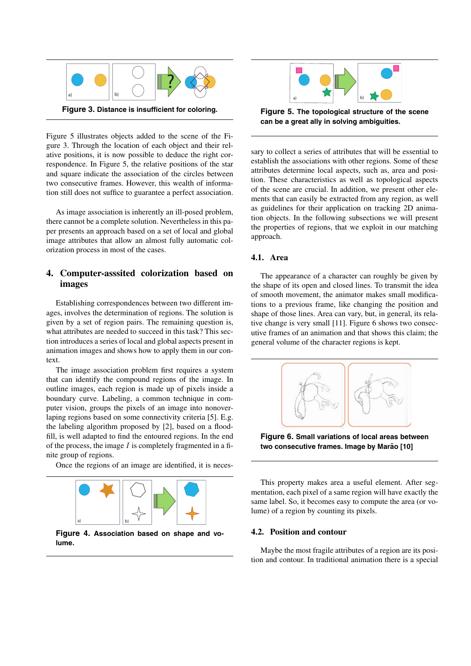

Figure 5 illustrates objects added to the scene of the Figure 3. Through the location of each object and their relative positions, it is now possible to deduce the right correspondence. In Figure 5, the relative positions of the star and square indicate the association of the circles between two consecutive frames. However, this wealth of information still does not suffice to guarantee a perfect association.

As image association is inherently an ill-posed problem, there cannot be a complete solution. Nevertheless in this paper presents an approach based on a set of local and global image attributes that allow an almost fully automatic colorization process in most of the cases.

# **4. Computer-asssited colorization based on images**

Establishing correspondences between two different images, involves the determination of regions. The solution is given by a set of region pairs. The remaining question is, what attributes are needed to succeed in this task? This section introduces a series of local and global aspects present in animation images and shows how to apply them in our context.

The image association problem first requires a system that can identify the compound regions of the image. In outline images, each region is made up of pixels inside a boundary curve. Labeling, a common technique in computer vision, groups the pixels of an image into nonoverlaping regions based on some connectivity criteria [5]. E.g. the labeling algorithm proposed by [2], based on a floodfill, is well adapted to find the entoured regions. In the end of the process, the image  $I$  is completely fragmented in a finite group of regions.

Once the regions of an image are identified, it is neces-



**Figure 4. Association based on shape and volume.**



**Figure 5. The topological structure of the scene can be a great ally in solving ambiguities.**

sary to collect a series of attributes that will be essential to establish the associations with other regions. Some of these attributes determine local aspects, such as, area and position. These characteristics as well as topological aspects of the scene are crucial. In addition, we present other elements that can easily be extracted from any region, as well as guidelines for their application on tracking 2D animation objects. In the following subsections we will present the properties of regions, that we exploit in our matching approach.

#### **4.1. Area**

The appearance of a character can roughly be given by the shape of its open and closed lines. To transmit the idea of smooth movement, the animator makes small modifications to a previous frame, like changing the position and shape of those lines. Area can vary, but, in general, its relative change is very small [11]. Figure 6 shows two consecutive frames of an animation and that shows this claim; the general volume of the character regions is kept.



**Figure 6. Small variations of local areas between two consecutive frames. Image by Marao [10] ˜**

This property makes area a useful element. After segmentation, each pixel of a same region will have exactly the same label. So, it becomes easy to compute the area (or volume) of a region by counting its pixels.

## **4.2. Position and contour**

Maybe the most fragile attributes of a region are its position and contour. In traditional animation there is a special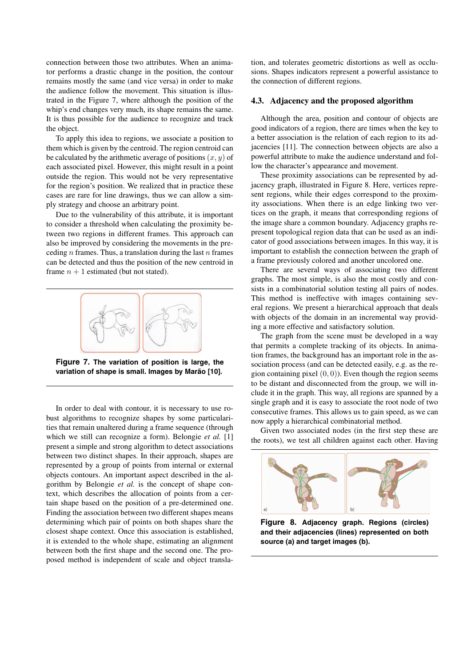connection between those two attributes. When an animator performs a drastic change in the position, the contour remains mostly the same (and vice versa) in order to make the audience follow the movement. This situation is illustrated in the Figure 7, where although the position of the whip's end changes very much, its shape remains the same. It is thus possible for the audience to recognize and track the object.

To apply this idea to regions, we associate a position to them which is given by the centroid. The region centroid can be calculated by the arithmetic average of positions  $(x, y)$  of each associated pixel. However, this might result in a point outside the region. This would not be very representative for the region's position. We realized that in practice these cases are rare for line drawings, thus we can allow a simply strategy and choose an arbitrary point.

Due to the vulnerability of this attribute, it is important to consider a threshold when calculating the proximity between two regions in different frames. This approach can also be improved by considering the movements in the preceding  $n$  frames. Thus, a translation during the last  $n$  frames can be detected and thus the position of the new centroid in frame  $n + 1$  estimated (but not stated).



**Figure 7. The variation of position is large, the** variation of shape is small. Images by Marão [10].

In order to deal with contour, it is necessary to use robust algorithms to recognize shapes by some particularities that remain unaltered during a frame sequence (through which we still can recognize a form). Belongie *et al.* [1] present a simple and strong algorithm to detect associations between two distinct shapes. In their approach, shapes are represented by a group of points from internal or external objects contours. An important aspect described in the algorithm by Belongie *et al.* is the concept of shape context, which describes the allocation of points from a certain shape based on the position of a pre-determined one. Finding the association between two different shapes means determining which pair of points on both shapes share the closest shape context. Once this association is established, it is extended to the whole shape, estimating an alignment between both the first shape and the second one. The proposed method is independent of scale and object translation, and tolerates geometric distortions as well as occlusions. Shapes indicators represent a powerful assistance to the connection of different regions.

#### **4.3. Adjacency and the proposed algorithm**

Although the area, position and contour of objects are good indicators of a region, there are times when the key to a better association is the relation of each region to its adjacencies [11]. The connection between objects are also a powerful attribute to make the audience understand and follow the character's appearance and movement.

These proximity associations can be represented by adjacency graph, illustrated in Figure 8. Here, vertices represent regions, while their edges correspond to the proximity associations. When there is an edge linking two vertices on the graph, it means that corresponding regions of the image share a common boundary. Adjacency graphs represent topological region data that can be used as an indicator of good associations between images. In this way, it is important to establish the connection between the graph of a frame previously colored and another uncolored one.

There are several ways of associating two different graphs. The most simple, is also the most costly and consists in a combinatorial solution testing all pairs of nodes. This method is ineffective with images containing several regions. We present a hierarchical approach that deals with objects of the domain in an incremental way providing a more effective and satisfactory solution.

The graph from the scene must be developed in a way that permits a complete tracking of its objects. In animation frames, the background has an important role in the association process (and can be detected easily, e.g. as the region containing pixel  $(0, 0)$ ). Even though the region seems to be distant and disconnected from the group, we will include it in the graph. This way, all regions are spanned by a single graph and it is easy to associate the root node of two consecutive frames. This allows us to gain speed, as we can now apply a hierarchical combinatorial method.

Given two associated nodes (in the first step these are the roots), we test all children against each other. Having



**Figure 8. Adjacency graph. Regions (circles) and their adjacencies (lines) represented on both source (a) and target images (b).**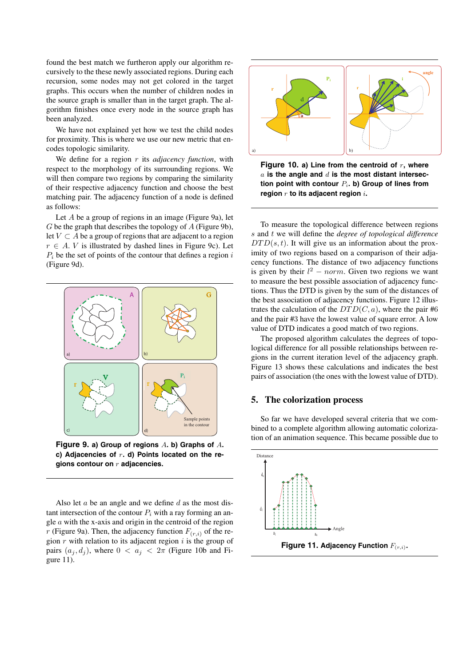found the best match we furtheron apply our algorithm recursively to the these newly associated regions. During each recursion, some nodes may not get colored in the target graphs. This occurs when the number of children nodes in the source graph is smaller than in the target graph. The algorithm finishes once every node in the source graph has been analyzed.

We have not explained yet how we test the child nodes for proximity. This is where we use our new metric that encodes topologic similarity.

We define for a region r its *adjacency function*, with respect to the morphology of its surrounding regions. We will then compare two regions by comparing the similarity of their respective adjacency function and choose the best matching pair. The adjacency function of a node is defined as follows:

Let  $A$  be a group of regions in an image (Figure 9a), let  $G$  be the graph that describes the topology of  $A$  (Figure 9b), let  $V \subset A$  be a group of regions that are adjacent to a region  $r \in A$ . *V* is illustrated by dashed lines in Figure 9c). Let  $P_i$  be the set of points of the contour that defines a region  $i$ (Figure 9d).



**Figure 9. a) Group of regions** *A***. b) Graphs of** *A***. c) Adjacencies of** *r***. d) Points located on the regions contour on** *r* **adjacencies.**

Also let  $a$  be an angle and we define  $d$  as the most distant intersection of the contour  $P_i$  with a ray forming an angle  $a$  with the x-axis and origin in the centroid of the region  $r$  (Figure 9a). Then, the adjacency function  $F(r,i)$  of the region  $r$  with relation to its adjacent region  $i$  is the group of pairs  $(a_i, d_j)$ , where  $0 < a_j < 2\pi$  (Figure 10b and Figure 11).



**Figure 10. a) Line from the centroid of** *r***, where** *a* **is the angle and** *d* **is the most distant intersection point with contour** *Pi***. b) Group of lines from region** *r* **to its adjacent region** *i***.**

To measure the topological difference between regions s and t we will define the *degree of topological difference*  $DTD(s, t)$ . It will give us an information about the proximity of two regions based on a comparison of their adjacency functions. The distance of two adjacency functions is given by their  $l^2$  – norm. Given two regions we want to measure the best possible association of adjacency functions. Thus the DTD is given by the sum of the distances of the best association of adjacency functions. Figure 12 illustrates the calculation of the  $DTD(C, a)$ , where the pair #6 and the pair #3 have the lowest value of square error. A low value of DTD indicates a good match of two regions.

The proposed algorithm calculates the degrees of topological difference for all possible relationships between regions in the current iteration level of the adjacency graph. Figure 13 shows these calculations and indicates the best pairs of association (the ones with the lowest value of DTD).

#### **5. The colorization process**

So far we have developed several criteria that we combined to a complete algorithm allowing automatic colorization of an animation sequence. This became possible due to

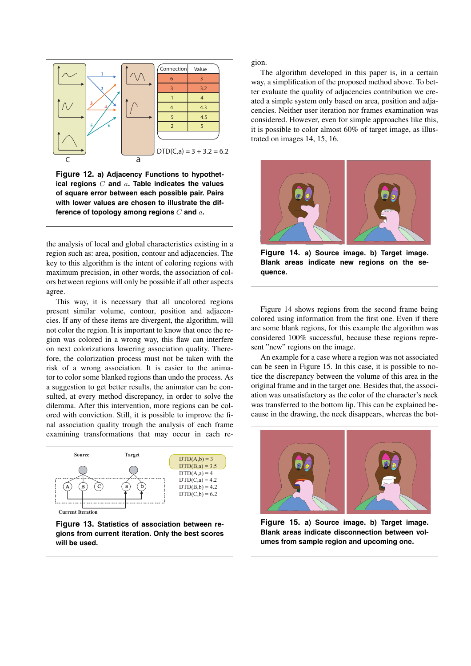

**Figure 12. a) Adjacency Functions to hypothetical regions** *C* **and** *a***. Table indicates the values of square error between each possible pair. Pairs with lower values are chosen to illustrate the difference of topology among regions** *C* **and** *a***.**

the analysis of local and global characteristics existing in a region such as: area, position, contour and adjacencies. The key to this algorithm is the intent of coloring regions with maximum precision, in other words, the association of colors between regions will only be possible if all other aspects agree.

This way, it is necessary that all uncolored regions present similar volume, contour, position and adjacencies. If any of these items are divergent, the algorithm, will not color the region. It is important to know that once the region was colored in a wrong way, this flaw can interfere on next colorizations lowering association quality. Therefore, the colorization process must not be taken with the risk of a wrong association. It is easier to the animator to color some blanked regions than undo the process. As a suggestion to get better results, the animator can be consulted, at every method discrepancy, in order to solve the dilemma. After this intervention, more regions can be colored with conviction. Still, it is possible to improve the final association quality trough the analysis of each frame examining transformations that may occur in each re-



**Current Iteration**

**Figure 13. Statistics of association between regions from current iteration. Only the best scores will be used.**

gion.

The algorithm developed in this paper is, in a certain way, a simplification of the proposed method above. To better evaluate the quality of adjacencies contribution we created a simple system only based on area, position and adjacencies. Neither user iteration nor frames examination was considered. However, even for simple approaches like this, it is possible to color almost 60% of target image, as illustrated on images 14, 15, 16.



**Figure 14. a) Source image. b) Target image. Blank areas indicate new regions on the sequence.**

Figure 14 shows regions from the second frame being colored using information from the first one. Even if there are some blank regions, for this example the algorithm was considered 100% successful, because these regions represent "new" regions on the image.

An example for a case where a region was not associated can be seen in Figure 15. In this case, it is possible to notice the discrepancy between the volume of this area in the original frame and in the target one. Besides that, the association was unsatisfactory as the color of the character's neck was transferred to the bottom lip. This can be explained because in the drawing, the neck disappears, whereas the bot-



**Figure 15. a) Source image. b) Target image. Blank areas indicate disconnection between volumes from sample region and upcoming one.**